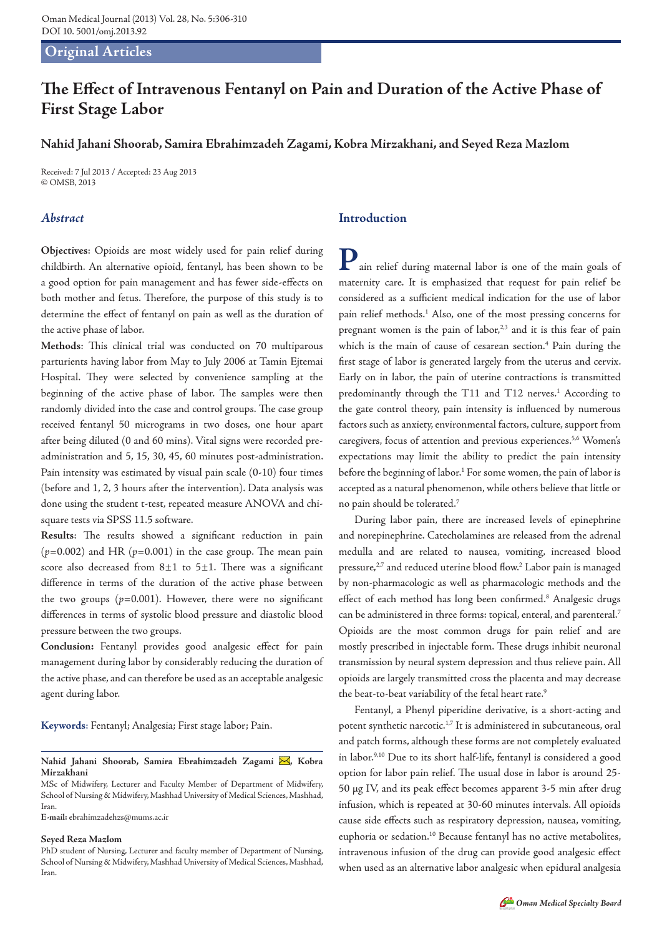## **Original Articles**

# **The Effect of Intravenous Fentanyl on Pain and Duration of the Active Phase of First Stage Labor**

# **Nahid Jahani Shoorab, Samira Ebrahimzadeh Zagami, Kobra Mirzakhani, and Seyed Reza Mazlom**

Received: 7 Jul 2013 / Accepted: 23 Aug 2013 © OMSB, 2013

## *Abstract*

**Objectives**: Opioids are most widely used for pain relief during childbirth. An alternative opioid, fentanyl, has been shown to be a good option for pain management and has fewer side-effects on both mother and fetus. Therefore, the purpose of this study is to determine the effect of fentanyl on pain as well as the duration of the active phase of labor.

**Methods**: This clinical trial was conducted on 70 multiparous parturients having labor from May to July 2006 at Tamin Ejtemai Hospital. They were selected by convenience sampling at the beginning of the active phase of labor. The samples were then randomly divided into the case and control groups. The case group received fentanyl 50 micrograms in two doses, one hour apart after being diluted (0 and 60 mins). Vital signs were recorded preadministration and 5, 15, 30, 45, 60 minutes post-administration. Pain intensity was estimated by visual pain scale (0-10) four times (before and 1, 2, 3 hours after the intervention). Data analysis was done using the student t-test, repeated measure ANOVA and chisquare tests via SPSS 11.5 software.

**Results**: The results showed a significant reduction in pain  $(p=0.002)$  and HR  $(p=0.001)$  in the case group. The mean pain score also decreased from  $8\pm1$  to  $5\pm1$ . There was a significant difference in terms of the duration of the active phase between the two groups  $(p=0.001)$ . However, there were no significant differences in terms of systolic blood pressure and diastolic blood pressure between the two groups.

**Conclusion:** Fentanyl provides good analgesic effect for pain management during labor by considerably reducing the duration of the active phase, and can therefore be used as an acceptable analgesic agent during labor.

**Keywords**: Fentanyl; Analgesia; First stage labor; Pain.

Nahid Jahani Shoorab, Samira Ebrahimzadeh Zagami , Kobra **Mirzakhani**

**E-mail:** ebrahimzadehzs@mums.ac.ir

#### **Seyed Reza Mazlom**

## **Introduction**

**P**ain relief during maternal labor is one of the main goals of maternity care. It is emphasized that request for pain relief be considered as a sufficient medical indication for the use of labor pain relief methods.<sup>1</sup> Also, one of the most pressing concerns for pregnant women is the pain of labor, $2,3$  and it is this fear of pain which is the main of cause of cesarean section.<sup>4</sup> Pain during the first stage of labor is generated largely from the uterus and cervix. Early on in labor, the pain of uterine contractions is transmitted predominantly through the T11 and T12 nerves.<sup>1</sup> According to the gate control theory, pain intensity is influenced by numerous factors such as anxiety, environmental factors, culture, support from caregivers, focus of attention and previous experiences.<sup>5,6</sup> Women's expectations may limit the ability to predict the pain intensity before the beginning of labor.<sup>1</sup> For some women, the pain of labor is accepted as a natural phenomenon, while others believe that little or no pain should be tolerated.7

During labor pain, there are increased levels of epinephrine and norepinephrine. Catecholamines are released from the adrenal medulla and are related to nausea, vomiting, increased blood pressure,<sup>2,7</sup> and reduced uterine blood flow.<sup>2</sup> Labor pain is managed by non-pharmacologic as well as pharmacologic methods and the effect of each method has long been confirmed.<sup>8</sup> Analgesic drugs can be administered in three forms: topical, enteral, and parenteral.7 Opioids are the most common drugs for pain relief and are mostly prescribed in injectable form. These drugs inhibit neuronal transmission by neural system depression and thus relieve pain. All opioids are largely transmitted cross the placenta and may decrease the beat-to-beat variability of the fetal heart rate.<sup>9</sup>

Fentanyl, a Phenyl piperidine derivative, is a short-acting and potent synthetic narcotic.<sup>1,7</sup> It is administered in subcutaneous, oral and patch forms, although these forms are not completely evaluated in labor.9,10 Due to its short half-life, fentanyl is considered a good option for labor pain relief. The usual dose in labor is around 25- 50 µg IV, and its peak effect becomes apparent 3-5 min after drug infusion, which is repeated at 30-60 minutes intervals. All opioids cause side effects such as respiratory depression, nausea, vomiting, euphoria or sedation.10 Because fentanyl has no active metabolites, intravenous infusion of the drug can provide good analgesic effect when used as an alternative labor analgesic when epidural analgesia

MSc of Midwifery, Lecturer and Faculty Member of Department of Midwifery, School of Nursing & Midwifery, Mashhad University of Medical Sciences, Mashhad, Iran.

PhD student of Nursing, Lecturer and faculty member of Department of Nursing, School of Nursing & Midwifery, Mashhad University of Medical Sciences, Mashhad, Iran.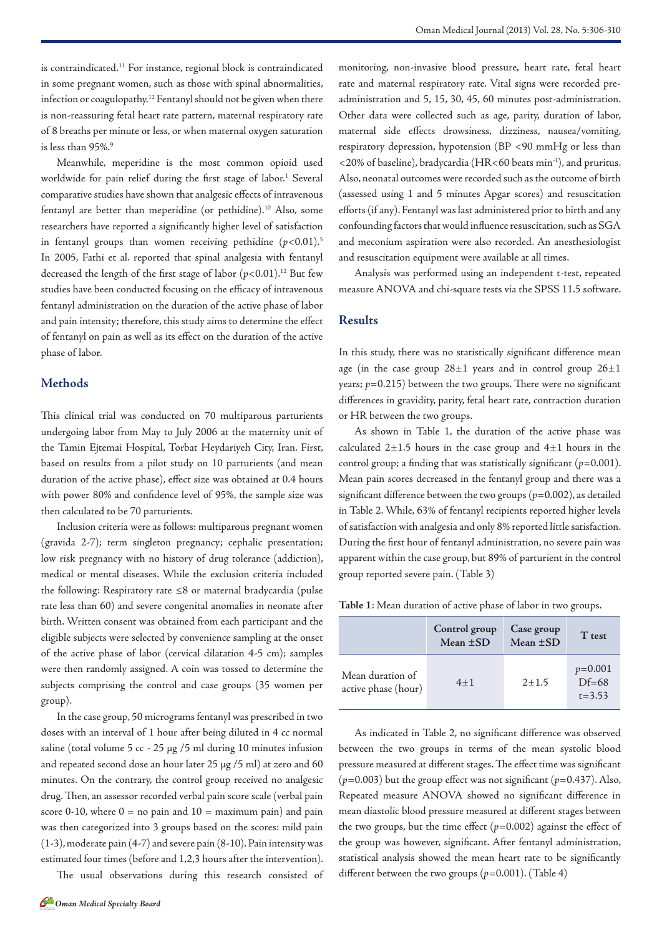is contraindicated.<sup>11</sup> For instance, regional block is contraindicated in some pregnant women, such as those with spinal abnormalities, infection or coagulopathy.12 Fentanyl should not be given when there is non-reassuring fetal heart rate pattern, maternal respiratory rate of 8 breaths per minute or less, or when maternal oxygen saturation is less than 95%.9

Meanwhile, meperidine is the most common opioid used worldwide for pain relief during the first stage of labor.<sup>1</sup> Several comparative studies have shown that analgesic effects of intravenous fentanyl are better than meperidine (or pethidine).<sup>10</sup> Also, some researchers have reported a significantly higher level of satisfaction in fentanyl groups than women receiving pethidine  $(p<0.01)$ .<sup>5</sup> In 2005, Fathi et al. reported that spinal analgesia with fentanyl decreased the length of the first stage of labor  $(p<0.01)$ .<sup>12</sup> But few studies have been conducted focusing on the efficacy of intravenous fentanyl administration on the duration of the active phase of labor and pain intensity; therefore, this study aims to determine the effect of fentanyl on pain as well as its effect on the duration of the active phase of labor.

## **Methods**

This clinical trial was conducted on 70 multiparous parturients undergoing labor from May to July 2006 at the maternity unit of the Tamin Ejtemai Hospital, Torbat Heydariyeh City, Iran. First, based on results from a pilot study on 10 parturients (and mean duration of the active phase), effect size was obtained at 0.4 hours with power 80% and confidence level of 95%, the sample size was then calculated to be 70 parturients.

Inclusion criteria were as follows: multiparous pregnant women (gravida 2-7); term singleton pregnancy; cephalic presentation; low risk pregnancy with no history of drug tolerance (addiction), medical or mental diseases. While the exclusion criteria included the following: Respiratory rate ≤8 or maternal bradycardia (pulse rate less than 60) and severe congenital anomalies in neonate after birth. Written consent was obtained from each participant and the eligible subjects were selected by convenience sampling at the onset of the active phase of labor (cervical dilatation 4-5 cm); samples were then randomly assigned. A coin was tossed to determine the subjects comprising the control and case groups (35 women per group).

In the case group, 50 micrograms fentanyl was prescribed in two doses with an interval of 1 hour after being diluted in 4 cc normal saline (total volume 5 cc - 25 µg /5 ml during 10 minutes infusion and repeated second dose an hour later 25 µg /5 ml) at zero and 60 minutes. On the contrary, the control group received no analgesic drug. Then, an assessor recorded verbal pain score scale (verbal pain score 0-10, where  $0 =$  no pain and  $10 =$  maximum pain) and pain was then categorized into 3 groups based on the scores: mild pain (1-3), moderate pain (4-7) and severe pain (8-10). Pain intensity was estimated four times (before and 1,2,3 hours after the intervention).

The usual observations during this research consisted of

monitoring, non-invasive blood pressure, heart rate, fetal heart rate and maternal respiratory rate. Vital signs were recorded preadministration and 5, 15, 30, 45, 60 minutes post-administration. Other data were collected such as age, parity, duration of labor, maternal side effects drowsiness, dizziness, nausea/vomiting, respiratory depression, hypotension (BP <90 mmHg or less than <20% of baseline), bradycardia (HR<60 beats min-1), and pruritus. Also, neonatal outcomes were recorded such as the outcome of birth (assessed using 1 and 5 minutes Apgar scores) and resuscitation efforts (if any). Fentanyl was last administered prior to birth and any confounding factors that would influence resuscitation, such as SGA and meconium aspiration were also recorded. An anesthesiologist and resuscitation equipment were available at all times.

Analysis was performed using an independent t-test, repeated measure ANOVA and chi-square tests via the SPSS 11.5 software.

#### **Results**

In this study, there was no statistically significant difference mean age (in the case group  $28\pm1$  years and in control group  $26\pm1$ years;  $p=0.215$ ) between the two groups. There were no significant differences in gravidity, parity, fetal heart rate, contraction duration or HR between the two groups.

As shown in Table 1, the duration of the active phase was calculated  $2\pm 1.5$  hours in the case group and  $4\pm 1$  hours in the control group; a finding that was statistically significant  $(p=0.001)$ . Mean pain scores decreased in the fentanyl group and there was a significant difference between the two groups  $(p=0.002)$ , as detailed in Table 2. While, 63% of fentanyl recipients reported higher levels of satisfaction with analgesia and only 8% reported little satisfaction. During the first hour of fentanyl administration, no severe pain was apparent within the case group, but 89% of parturient in the control group reported severe pain. (Table 3)

**Table 1**: Mean duration of active phase of labor in two groups.

|                                         | Control group<br>Mean $\pm SD$ | Case group<br>Mean $\pm SD$ | T test                             |
|-----------------------------------------|--------------------------------|-----------------------------|------------------------------------|
| Mean duration of<br>active phase (hour) | $4 + 1$                        | $2 + 1.5$                   | $p=0.001$<br>$Df=68$<br>$t = 3.53$ |

As indicated in Table 2, no significant difference was observed between the two groups in terms of the mean systolic blood pressure measured at different stages. The effect time was significant (*p*=0.003) but the group effect was not significant (*p*=0.437). Also, Repeated measure ANOVA showed no significant difference in mean diastolic blood pressure measured at different stages between the two groups, but the time effect  $(p=0.002)$  against the effect of the group was however, significant. After fentanyl administration, statistical analysis showed the mean heart rate to be significantly different between the two groups (*p*=0.001). (Table 4)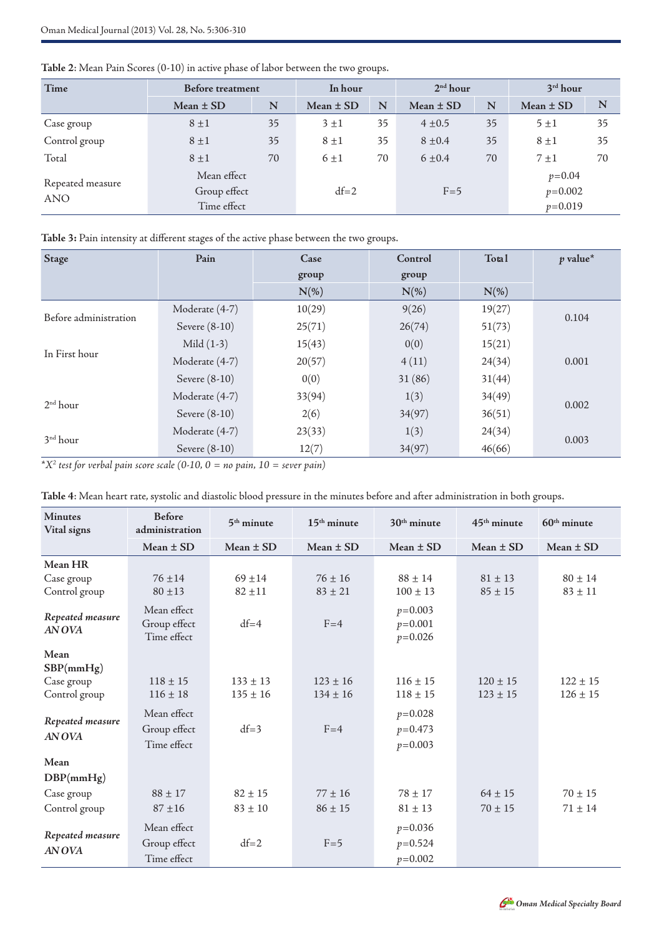| Time                           | <b>Before treatment</b>                    |    | In hour       |    | 2 <sup>nd</sup> hour |    | 3 <sup>rd</sup> hour               |    |
|--------------------------------|--------------------------------------------|----|---------------|----|----------------------|----|------------------------------------|----|
|                                | Mean $\pm$ SD                              | N  | Mean $\pm$ SD | N  | Mean $\pm$ SD        | N  | Mean $\pm$ SD                      | N  |
| Case group                     | $8 \pm 1$                                  | 35 | $3 \pm 1$     | 35 | $4 \pm 0.5$          | 35 | 5±1                                | 35 |
| Control group                  | $8 \pm 1$                                  | 35 | $8 \pm 1$     | 35 | $8 \pm 0.4$          | 35 | $8 \pm 1$                          | 35 |
| Total                          | $8 \pm 1$                                  | 70 | 6±1           | 70 | $6 \pm 0.4$          | 70 | $7 \pm 1$                          | 70 |
| Repeated measure<br><b>ANO</b> | Mean effect<br>Group effect<br>Time effect |    | $df=2$        |    | $F=5$                |    | $p=0.04$<br>$p=0.002$<br>$p=0.019$ |    |

**Table 2**: Mean Pain Scores (0-10) in active phase of labor between the two groups.

**Table 3:** Pain intensity at different stages of the active phase between the two groups.

| <b>Stage</b>          | Pain            | Case    | Control | Total   | $p$ value* |  |
|-----------------------|-----------------|---------|---------|---------|------------|--|
|                       |                 | group   | group   |         |            |  |
|                       |                 | $N(\%)$ | $N(\%)$ | $N(\%)$ |            |  |
| Before administration | Moderate (4-7)  | 10(29)  | 9(26)   | 19(27)  |            |  |
|                       | Severe (8-10)   | 25(71)  | 26(74)  | 51(73)  | 0.104      |  |
| In First hour         | Mild $(1-3)$    | 15(43)  | 0(0)    | 15(21)  |            |  |
|                       | Moderate (4-7)  | 20(57)  | 4(11)   | 24(34)  | 0.001      |  |
|                       | Severe $(8-10)$ | 0(0)    | 31(86)  | 31(44)  |            |  |
| 2 <sup>nd</sup> hour  | Moderate (4-7)  | 33(94)  | 1(3)    | 34(49)  | 0.002      |  |
|                       | Severe (8-10)   | 2(6)    | 34(97)  | 36(51)  |            |  |
| 3 <sup>nd</sup> hour  | Moderate (4-7)  | 23(33)  | 1(3)    | 24(34)  |            |  |
|                       | Severe (8-10)   | 12(7)   | 34(97)  | 46(66)  | 0.003      |  |

*\*X2 test for verbal pain score scale (0-10, 0 = no pain, 10 = sever pain)*

| Table 4: Mean heart rate, systolic and diastolic blood pressure in the minutes before and after administration in both groups. |  |  |  |  |  |  |
|--------------------------------------------------------------------------------------------------------------------------------|--|--|--|--|--|--|
|--------------------------------------------------------------------------------------------------------------------------------|--|--|--|--|--|--|

| <b>Minutes</b><br>Vital signs                    | <b>Before</b><br>administration            | $5th$ minute                 | $15th$ minute                | $30th$ minute                           | $45th$ minute                | $60th$ minute                |
|--------------------------------------------------|--------------------------------------------|------------------------------|------------------------------|-----------------------------------------|------------------------------|------------------------------|
|                                                  | Mean $\pm$ SD                              | Mean $\pm$ SD                | Mean $\pm$ SD                | Mean $\pm$ SD                           | Mean $\pm$ SD                | Mean $\pm$ SD                |
| Mean HR<br>Case group<br>Control group           | $76 + 14$<br>$80 \pm 13$                   | $69 + 14$<br>$82 + 11$       | $76 \pm 16$<br>$83 \pm 21$   | $88 \pm 14$<br>$100 \pm 13$             | $81 \pm 13$<br>$85 \pm 15$   | $80 \pm 14$<br>$83 \pm 11$   |
| Repeated measure<br>AN OVA                       | Mean effect<br>Group effect<br>Time effect | $df=4$                       | $F = 4$                      | $p=0.003$<br>$p=0.001$<br>$p=0.026$     |                              |                              |
| Mean<br>SBP(mmHg)<br>Case group<br>Control group | $118 \pm 15$<br>$116 \pm 18$               | $133 \pm 13$<br>$135 \pm 16$ | $123 \pm 16$<br>$134 \pm 16$ | $116 \pm 15$<br>$118 \pm 15$            | $120 \pm 15$<br>$123 \pm 15$ | $122 \pm 15$<br>$126 \pm 15$ |
| Repeated measure<br>AN OVA                       | Mean effect<br>Group effect<br>Time effect | $df=3$                       | $F=4$                        | $p=0.028$<br>$p=0.473$<br>$p=0.003$     |                              |                              |
| Mean                                             |                                            |                              |                              |                                         |                              |                              |
| DBP(mmHg)                                        |                                            |                              |                              |                                         |                              |                              |
| Case group                                       | $88 \pm 17$                                | $82 \pm 15$                  | $77 \pm 16$                  | $78 \pm 17$                             | $64 \pm 15$                  | $70 \pm 15$                  |
| Control group                                    | $87 + 16$                                  | $83 \pm 10$                  | $86 \pm 15$                  | $81 \pm 13$                             | $70 \pm 15$                  | $71 \pm 14$                  |
| Repeated measure<br><b>AN OVA</b>                | Mean effect<br>Group effect<br>Time effect | $df=2$                       | $F=5$                        | $p=0.036$<br>$p = 0.524$<br>$p = 0.002$ |                              |                              |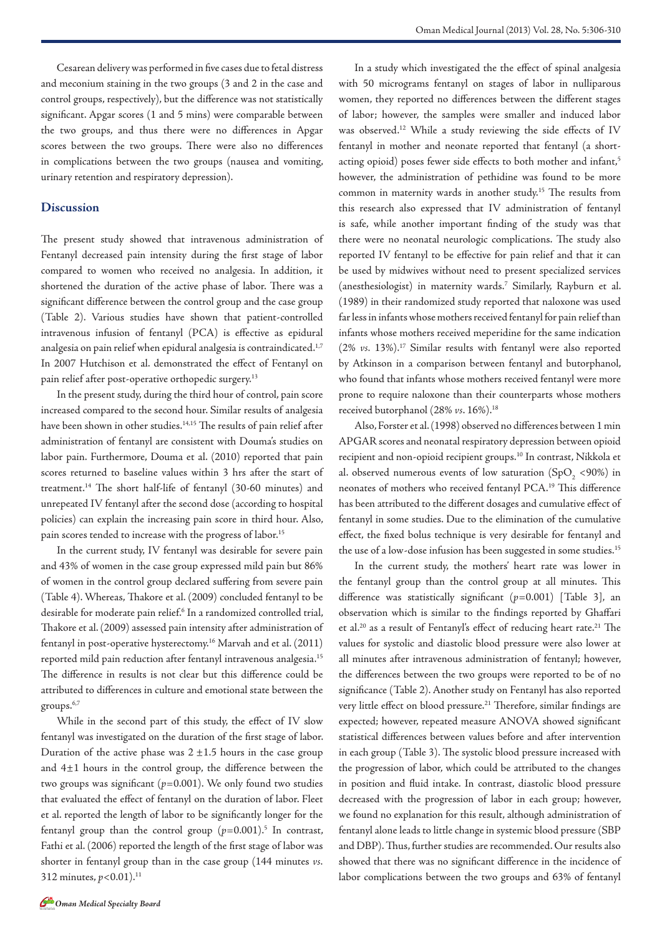Cesarean delivery was performed in five cases due to fetal distress and meconium staining in the two groups (3 and 2 in the case and control groups, respectively), but the difference was not statistically significant. Apgar scores (1 and 5 mins) were comparable between the two groups, and thus there were no differences in Apgar scores between the two groups. There were also no differences in complications between the two groups (nausea and vomiting, urinary retention and respiratory depression).

#### **Discussion**

The present study showed that intravenous administration of Fentanyl decreased pain intensity during the first stage of labor compared to women who received no analgesia. In addition, it shortened the duration of the active phase of labor. There was a significant difference between the control group and the case group (Table 2). Various studies have shown that patient-controlled intravenous infusion of fentanyl (PCA) is effective as epidural analgesia on pain relief when epidural analgesia is contraindicated.1,7 In 2007 Hutchison et al. demonstrated the effect of Fentanyl on pain relief after post-operative orthopedic surgery.<sup>13</sup>

In the present study, during the third hour of control, pain score increased compared to the second hour. Similar results of analgesia have been shown in other studies.<sup>14,15</sup> The results of pain relief after administration of fentanyl are consistent with Douma's studies on labor pain. Furthermore, Douma et al. (2010) reported that pain scores returned to baseline values within 3 hrs after the start of treatment.14 The short half-life of fentanyl (30-60 minutes) and unrepeated IV fentanyl after the second dose (according to hospital policies) can explain the increasing pain score in third hour. Also, pain scores tended to increase with the progress of labor.<sup>15</sup>

In the current study, IV fentanyl was desirable for severe pain and 43% of women in the case group expressed mild pain but 86% of women in the control group declared suffering from severe pain (Table 4). Whereas, Thakore et al. (2009) concluded fentanyl to be desirable for moderate pain relief.6 In a randomized controlled trial, Thakore et al. (2009) assessed pain intensity after administration of fentanyl in post-operative hysterectomy.16 Marvah and et al. (2011) reported mild pain reduction after fentanyl intravenous analgesia.15 The difference in results is not clear but this difference could be attributed to differences in culture and emotional state between the groups.6,7

While in the second part of this study, the effect of IV slow fentanyl was investigated on the duration of the first stage of labor. Duration of the active phase was  $2 \pm 1.5$  hours in the case group and 4±1 hours in the control group, the difference between the two groups was significant  $(p=0.001)$ . We only found two studies that evaluated the effect of fentanyl on the duration of labor. Fleet et al. reported the length of labor to be significantly longer for the fentanyl group than the control group (p=0.001).<sup>5</sup> In contrast, Fathi et al. (2006) reported the length of the first stage of labor was shorter in fentanyl group than in the case group (144 minutes *vs.* 312 minutes,  $p < 0.01$ ).<sup>11</sup>

In a study which investigated the the effect of spinal analgesia with 50 micrograms fentanyl on stages of labor in nulliparous women, they reported no differences between the different stages of labor; however, the samples were smaller and induced labor was observed.<sup>12</sup> While a study reviewing the side effects of IV fentanyl in mother and neonate reported that fentanyl (a shortacting opioid) poses fewer side effects to both mother and infant,<sup>5</sup> however, the administration of pethidine was found to be more common in maternity wards in another study.15 The results from this research also expressed that IV administration of fentanyl is safe, while another important finding of the study was that there were no neonatal neurologic complications. The study also reported IV fentanyl to be effective for pain relief and that it can be used by midwives without need to present specialized services (anesthesiologist) in maternity wards.7 Similarly, Rayburn et al. (1989) in their randomized study reported that naloxone was used far less in infants whose mothers received fentanyl for pain relief than infants whose mothers received meperidine for the same indication (2% *vs.* 13%).17 Similar results with fentanyl were also reported by Atkinson in a comparison between fentanyl and butorphanol, who found that infants whose mothers received fentanyl were more prone to require naloxone than their counterparts whose mothers received butorphanol (28% *vs*. 16%).18

Also, Forster et al. (1998) observed no differences between 1 min APGAR scores and neonatal respiratory depression between opioid recipient and non-opioid recipient groups.10 In contrast, Nikkola et al. observed numerous events of low saturation  $(SpO<sub>2</sub> < 90%)$  in neonates of mothers who received fentanyl PCA.19 This difference has been attributed to the different dosages and cumulative effect of fentanyl in some studies. Due to the elimination of the cumulative effect, the fixed bolus technique is very desirable for fentanyl and the use of a low-dose infusion has been suggested in some studies.<sup>15</sup>

In the current study, the mothers' heart rate was lower in the fentanyl group than the control group at all minutes. This difference was statistically significant (*p*=0.001) [Table 3], an observation which is similar to the findings reported by Ghaffari et al.20 as a result of Fentanyl's effect of reducing heart rate.21 The values for systolic and diastolic blood pressure were also lower at all minutes after intravenous administration of fentanyl; however, the differences between the two groups were reported to be of no significance (Table 2). Another study on Fentanyl has also reported very little effect on blood pressure.<sup>21</sup> Therefore, similar findings are expected; however, repeated measure ANOVA showed significant statistical differences between values before and after intervention in each group (Table 3). The systolic blood pressure increased with the progression of labor, which could be attributed to the changes in position and fluid intake. In contrast, diastolic blood pressure decreased with the progression of labor in each group; however, we found no explanation for this result, although administration of fentanyl alone leads to little change in systemic blood pressure (SBP and DBP). Thus, further studies are recommended. Our results also showed that there was no significant difference in the incidence of labor complications between the two groups and 63% of fentanyl